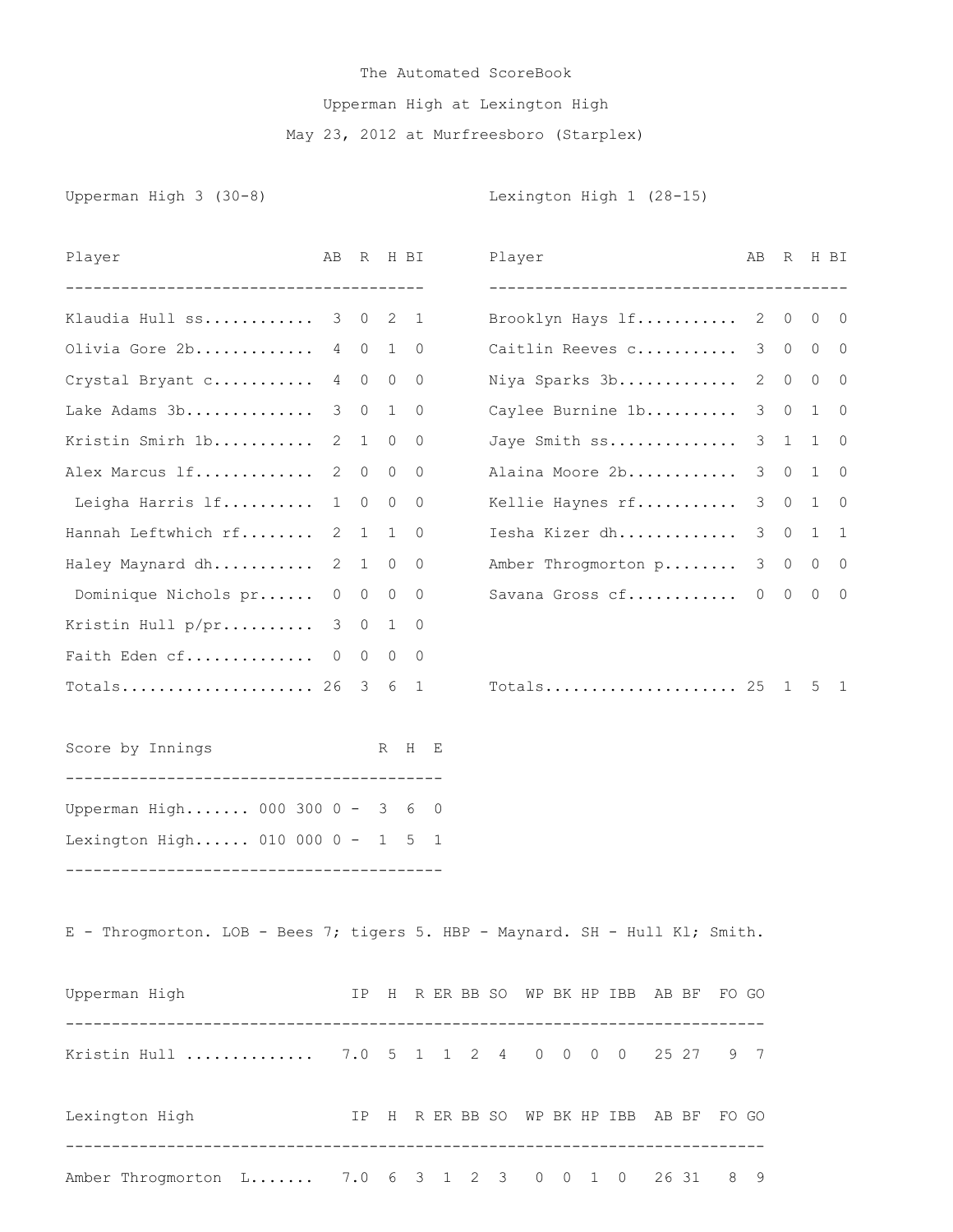## The Automated ScoreBook Upperman High at Lexington High May 23, 2012 at Murfreesboro (Starplex)

Upperman High 3 (30-8) Contract Contract Contract Lexington High 1 (28-15)

| Player                                                                       | AB             | R              |              | H BI                     |  | Player |  |                                                            |  | AB.            | R              |                   | H BI                     |
|------------------------------------------------------------------------------|----------------|----------------|--------------|--------------------------|--|--------|--|------------------------------------------------------------|--|----------------|----------------|-------------------|--------------------------|
| ------------------------------------<br>Klaudia Hull ss                      | 3              | $\overline{0}$ | 2            | $\overline{1}$           |  |        |  | --------------------------------------<br>Brooklyn Hays lf |  |                | 2 0            |                   | $0\quad 0$               |
| Olivia Gore 2b                                                               |                | 4 0            | $\mathbf{1}$ | $\overline{0}$           |  |        |  | Caitlin Reeves c 3 0                                       |  |                |                |                   | $0\quad 0$               |
| Crystal Bryant c                                                             |                | 4 0            |              | $0\quad 0$               |  |        |  | Niya Sparks 3b                                             |  | 2              | $\circ$        |                   | $0\quad 0$               |
| Lake Adams 3b                                                                | 3              | $\circ$        | 1            | $\circ$                  |  |        |  | Caylee Burnine 1b                                          |  | 3              | $\circ$        |                   | $1 \quad 0$              |
| Kristin Smirh 1b                                                             | $\overline{2}$ | 1              |              | $0\qquad 0$              |  |        |  | Jaye Smith ss                                              |  |                | $3\quad1$      |                   | $1 \quad 0$              |
| Alex Marcus 1f                                                               | 2              | $\overline{0}$ | $\circ$      | $\overline{\phantom{0}}$ |  |        |  | Alaina Moore 2b                                            |  | 3              | $\circ$        | $\mathbf{1}$      | $\overline{\phantom{0}}$ |
| Leigha Harris lf                                                             | $\mathbf{1}$   | $\circ$        | $\circ$      | $\overline{\phantom{0}}$ |  |        |  | Kellie Haynes rf                                           |  | 3 <sup>7</sup> | $\circ$        |                   | $1 \quad 0$              |
| Hannah Leftwhich rf                                                          | $\overline{2}$ | 1              | $\mathbf{1}$ | 0                        |  |        |  | Iesha Kizer dh                                             |  | 3 <sup>7</sup> | $\circ$        |                   | $1\quad 1$               |
| Haley Maynard dh                                                             | $\overline{2}$ | 1              | $\circ$      | $\overline{0}$           |  |        |  | Amber Throgmorton p                                        |  | 3              |                | $0\quad 0\quad 0$ |                          |
| Dominique Nichols pr                                                         | $\circ$        | $\circ$        | $\circ$      | $\overline{0}$           |  |        |  | Savana Gross cf                                            |  | $\overline{0}$ | $\overline{0}$ |                   | $0\quad 0$               |
| Kristin Hull p/pr                                                            | $\mathcal{S}$  | $\overline{0}$ | $1 \quad$    | 0                        |  |        |  |                                                            |  |                |                |                   |                          |
| Faith Eden cf 0                                                              |                | $\overline{0}$ | $\circ$      | $\overline{0}$           |  |        |  |                                                            |  |                |                |                   |                          |
| $Totals$ 26 3                                                                |                |                |              | 6 1                      |  |        |  | Totals 25                                                  |  |                | $\mathbf{1}$   |                   | 5 1                      |
| Score by Innings                                                             |                |                |              | R H E                    |  |        |  |                                                            |  |                |                |                   |                          |
| Upperman High 000 300 0 - 3 6 0                                              |                |                |              |                          |  |        |  |                                                            |  |                |                |                   |                          |
| Lexington High 010 000 0 - 1 5 1                                             |                |                |              |                          |  |        |  |                                                            |  |                |                |                   |                          |
| E - Throgmorton. LOB - Bees 7; tigers 5. HBP - Maynard. SH - Hull Kl; Smith. |                |                |              |                          |  |        |  |                                                            |  |                |                |                   |                          |
| Upperman High TP H R ER BB SO WP BK HP IBB AB BF FO GO                       |                |                |              |                          |  |        |  |                                                            |  |                |                |                   |                          |
| Kristin Hull  7.0 5 1 1 2 4 0 0 0 0 25 27 9 7                                |                |                |              |                          |  |        |  |                                                            |  |                |                |                   |                          |
| IP H R ER BB SO WP BK HP IBB AB BF FO GO<br>Lexington High                   |                |                |              |                          |  |        |  |                                                            |  |                |                |                   |                          |
| Amber Throgmorton L 7.0 6 3 1 2 3 0 0 1 0 26 31 8 9                          |                |                |              |                          |  |        |  |                                                            |  |                |                |                   |                          |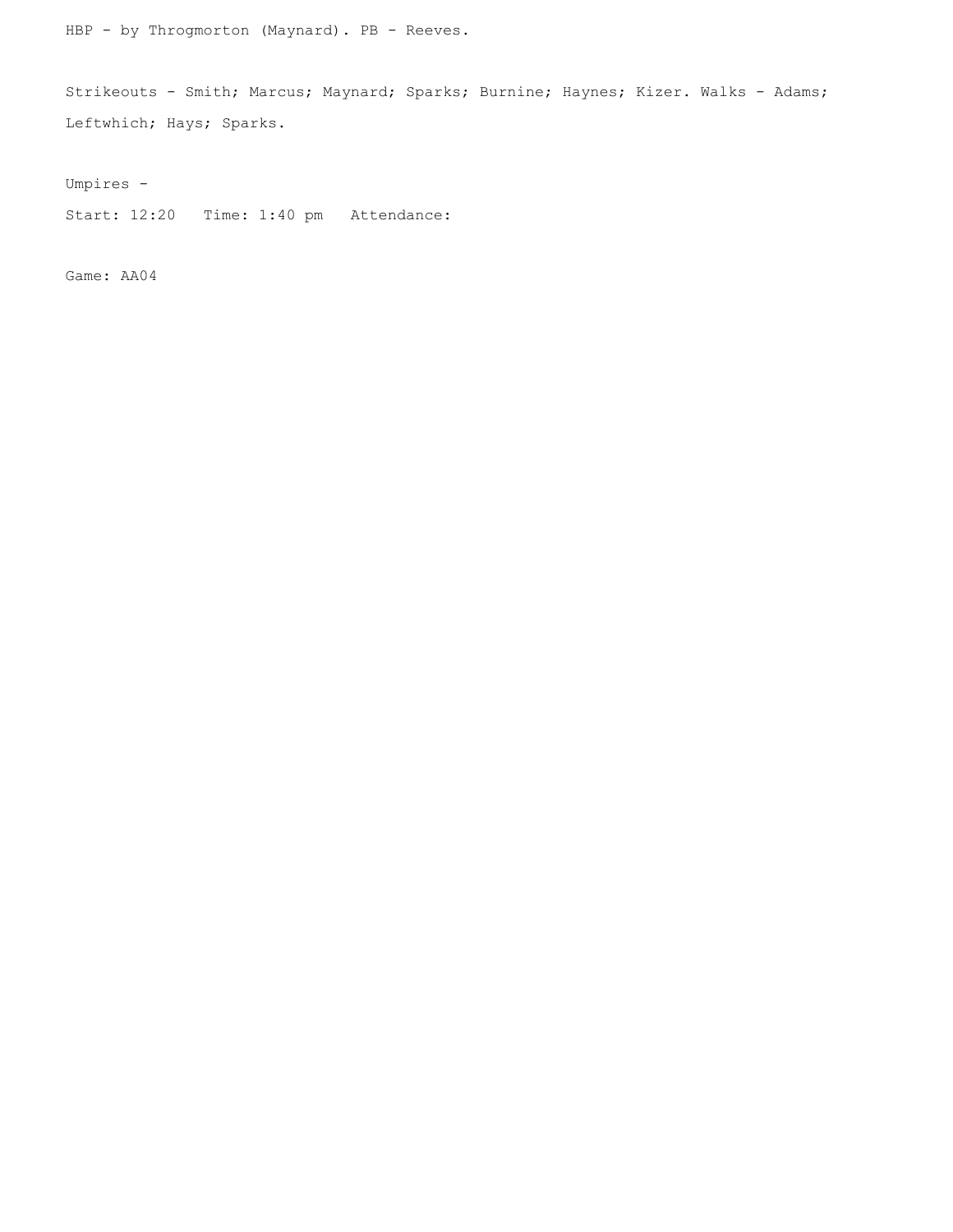HBP - by Throgmorton (Maynard). PB - Reeves.

Strikeouts - Smith; Marcus; Maynard; Sparks; Burnine; Haynes; Kizer. Walks - Adams; Leftwhich; Hays; Sparks.

Umpires -

Start: 12:20 Time: 1:40 pm Attendance:

Game: AA04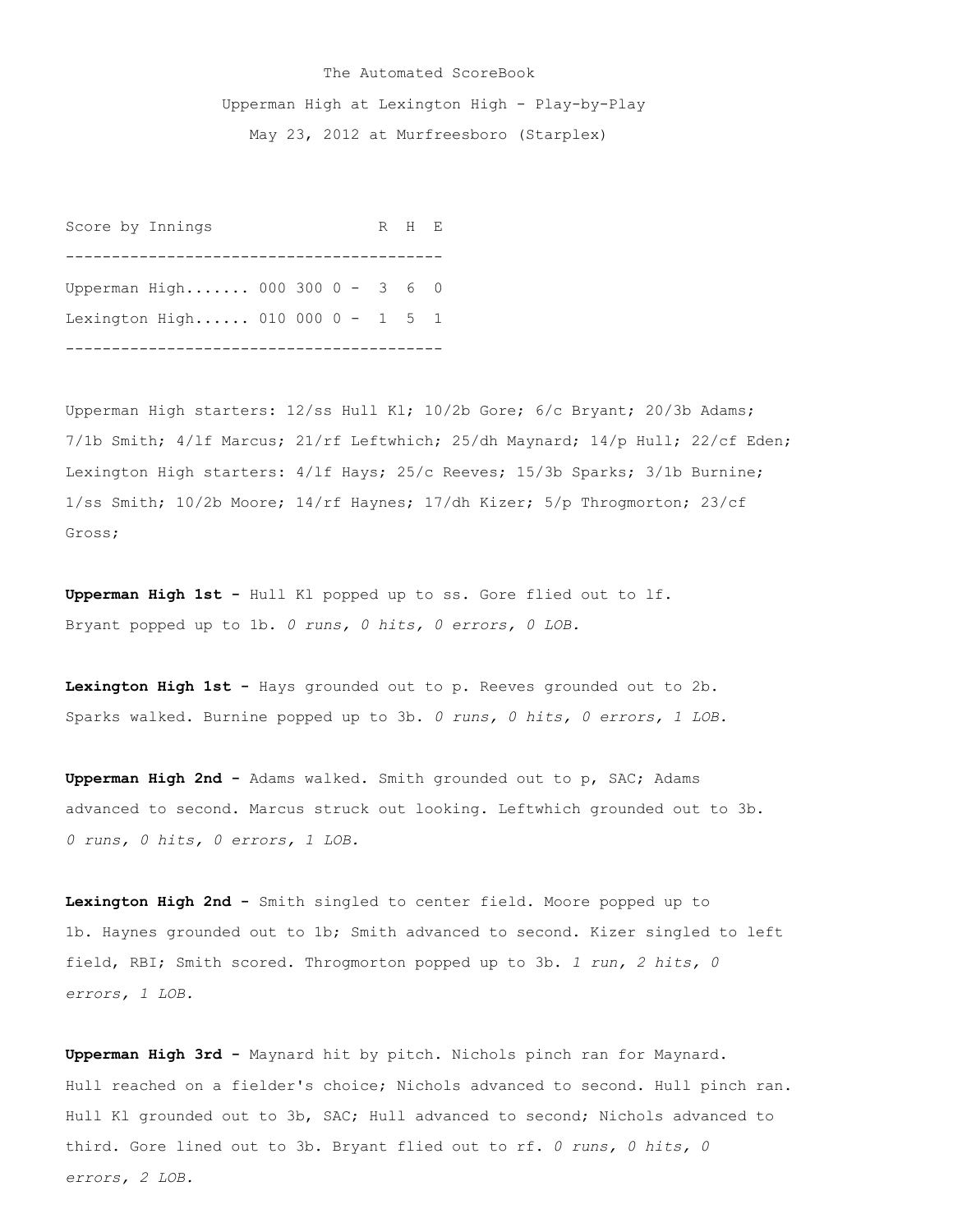## The Automated ScoreBook Upperman High at Lexington High - Play-by-Play May 23, 2012 at Murfreesboro (Starplex)

Score by Innings R H E ----------------------------------------- Upperman High....... 000 300 0 - 3 6 0 Lexington High...... 010 000 0 - 1 5 1 -----------------------------------------

Upperman High starters: 12/ss Hull Kl; 10/2b Gore; 6/c Bryant; 20/3b Adams; 7/1b Smith; 4/lf Marcus; 21/rf Leftwhich; 25/dh Maynard; 14/p Hull; 22/cf Eden; Lexington High starters: 4/lf Hays; 25/c Reeves; 15/3b Sparks; 3/1b Burnine; 1/ss Smith; 10/2b Moore; 14/rf Haynes; 17/dh Kizer; 5/p Throgmorton; 23/cf Gross;

**Upperman High 1st -** Hull Kl popped up to ss. Gore flied out to lf. Bryant popped up to 1b. *0 runs, 0 hits, 0 errors, 0 LOB.*

**Lexington High 1st -** Hays grounded out to p. Reeves grounded out to 2b. Sparks walked. Burnine popped up to 3b. *0 runs, 0 hits, 0 errors, 1 LOB.*

**Upperman High 2nd -** Adams walked. Smith grounded out to p, SAC; Adams advanced to second. Marcus struck out looking. Leftwhich grounded out to 3b. *0 runs, 0 hits, 0 errors, 1 LOB.*

**Lexington High 2nd -** Smith singled to center field. Moore popped up to 1b. Haynes grounded out to 1b; Smith advanced to second. Kizer singled to left field, RBI; Smith scored. Throgmorton popped up to 3b. *1 run, 2 hits, 0 errors, 1 LOB.*

**Upperman High 3rd -** Maynard hit by pitch. Nichols pinch ran for Maynard. Hull reached on a fielder's choice; Nichols advanced to second. Hull pinch ran. Hull Kl grounded out to 3b, SAC; Hull advanced to second; Nichols advanced to third. Gore lined out to 3b. Bryant flied out to rf. *0 runs, 0 hits, 0 errors, 2 LOB.*